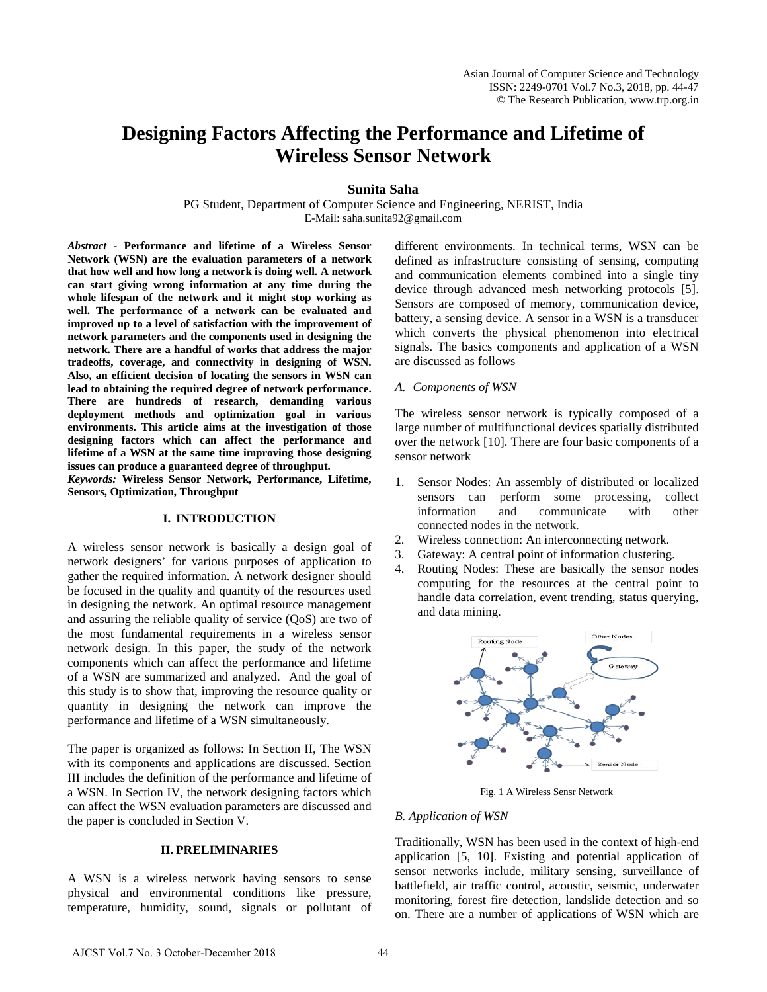# **Designing Factors Affecting the Performance and Lifetime of Wireless Sensor Network**

#### **Sunita Saha**

PG Student, Department of Computer Science and Engineering, NERIST, India E-Mail: saha.sunita92@gmail.com

*Abstract* **- Performance and lifetime of a Wireless Sensor Network (WSN) are the evaluation parameters of a network that how well and how long a network is doing well. A network can start giving wrong information at any time during the whole lifespan of the network and it might stop working as well. The performance of a network can be evaluated and improved up to a level of satisfaction with the improvement of network parameters and the components used in designing the network. There are a handful of works that address the major tradeoffs, coverage, and connectivity in designing of WSN. Also, an efficient decision of locating the sensors in WSN can lead to obtaining the required degree of network performance. There are hundreds of research, demanding various deployment methods and optimization goal in various environments. This article aims at the investigation of those designing factors which can affect the performance and lifetime of a WSN at the same time improving those designing issues can produce a guaranteed degree of throughput.** 

*Keywords:* **Wireless Sensor Network, Performance, Lifetime, Sensors, Optimization, Throughput**

## **I. INTRODUCTION**

A wireless sensor network is basically a design goal of network designers' for various purposes of application to gather the required information. A network designer should be focused in the quality and quantity of the resources used in designing the network. An optimal resource management and assuring the reliable quality of service (QoS) are two of the most fundamental requirements in a wireless sensor network design. In this paper, the study of the network components which can affect the performance and lifetime of a WSN are summarized and analyzed. And the goal of this study is to show that, improving the resource quality or quantity in designing the network can improve the performance and lifetime of a WSN simultaneously.

The paper is organized as follows: In Section II, The WSN with its components and applications are discussed. Section III includes the definition of the performance and lifetime of a WSN. In Section IV, the network designing factors which can affect the WSN evaluation parameters are discussed and the paper is concluded in Section V.

#### **II. PRELIMINARIES**

A WSN is a wireless network having sensors to sense physical and environmental conditions like pressure, temperature, humidity, sound, signals or pollutant of different environments. In technical terms, WSN can be defined as infrastructure consisting of sensing, computing and communication elements combined into a single tiny device through advanced mesh networking protocols [5]. Sensors are composed of memory, communication device, battery, a sensing device. A sensor in a WSN is a transducer which converts the physical phenomenon into electrical signals. The basics components and application of a WSN are discussed as follows

#### *A. Components of WSN*

The wireless sensor network is typically composed of a large number of multifunctional devices spatially distributed over the network [10]. There are four basic components of a sensor network

- 1. Sensor Nodes: An assembly of distributed or localized sensors can perform some processing, collect information and communicate with other connected nodes in the network.
- 2. Wireless connection: An interconnecting network.
- 3. Gateway: A central point of information clustering.
- 4. Routing Nodes: These are basically the sensor nodes computing for the resources at the central point to handle data correlation, event trending, status querying, and data mining.



Fig. 1 A Wireless Sensr Network

#### *B. Application of WSN*

Traditionally, WSN has been used in the context of high-end application [5, 10]. Existing and potential application of sensor networks include, military sensing, surveillance of battlefield, air traffic control, acoustic, seismic, underwater monitoring, forest fire detection, landslide detection and so on. There are a number of applications of WSN which are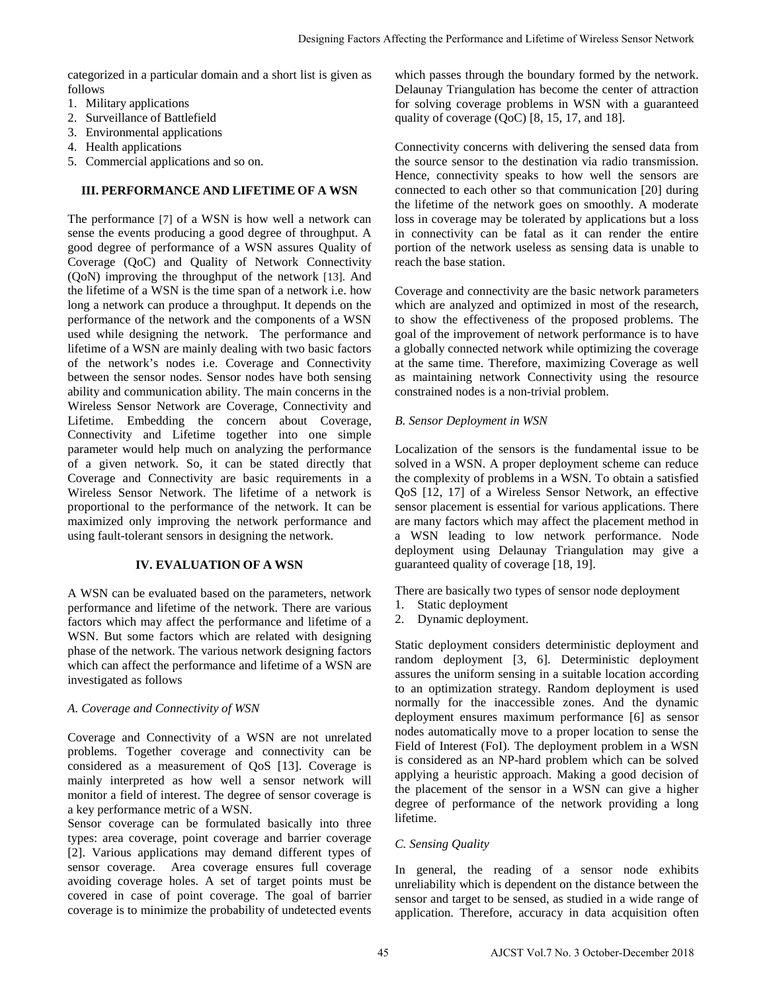categorized in a particular domain and a short list is given as follows

- 1. Military applications
- 2. Surveillance of Battlefield
- 3. Environmental applications
- 4. Health applications
- 5. Commercial applications and so on.

## **III. PERFORMANCE AND LIFETIME OF A WSN**

The performance [7] of a WSN is how well a network can sense the events producing a good degree of throughput. A good degree of performance of a WSN assures Quality of Coverage (QoC) and Quality of Network Connectivity (QoN) improving the throughput of the network [13]. And the lifetime of a WSN is the time span of a network i.e. how long a network can produce a throughput. It depends on the performance of the network and the components of a WSN used while designing the network. The performance and lifetime of a WSN are mainly dealing with two basic factors of the network's nodes i.e. Coverage and Connectivity between the sensor nodes. Sensor nodes have both sensing ability and communication ability. The main concerns in the Wireless Sensor Network are Coverage, Connectivity and Lifetime. Embedding the concern about Coverage, Connectivity and Lifetime together into one simple parameter would help much on analyzing the performance of a given network. So, it can be stated directly that Coverage and Connectivity are basic requirements in a Wireless Sensor Network. The lifetime of a network is proportional to the performance of the network. It can be maximized only improving the network performance and using fault-tolerant sensors in designing the network.

# **IV. EVALUATION OF A WSN**

A WSN can be evaluated based on the parameters, network performance and lifetime of the network. There are various factors which may affect the performance and lifetime of a WSN. But some factors which are related with designing phase of the network. The various network designing factors which can affect the performance and lifetime of a WSN are investigated as follows

# *A. Coverage and Connectivity of WSN*

Coverage and Connectivity of a WSN are not unrelated problems. Together coverage and connectivity can be considered as a measurement of QoS [13]. Coverage is mainly interpreted as how well a sensor network will monitor a field of interest. The degree of sensor coverage is a key performance metric of a WSN.

Sensor coverage can be formulated basically into three types: area coverage, point coverage and barrier coverage [2]. Various applications may demand different types of sensor coverage. Area coverage ensures full coverage avoiding coverage holes. A set of target points must be covered in case of point coverage. The goal of barrier coverage is to minimize the probability of undetected events which passes through the boundary formed by the network. Delaunay Triangulation has become the center of attraction for solving coverage problems in WSN with a guaranteed quality of coverage (QoC) [8, 15, 17, and 18].

Connectivity concerns with delivering the sensed data from the source sensor to the destination via radio transmission. Hence, connectivity speaks to how well the sensors are connected to each other so that communication [20] during the lifetime of the network goes on smoothly. A moderate loss in coverage may be tolerated by applications but a loss in connectivity can be fatal as it can render the entire portion of the network useless as sensing data is unable to reach the base station.

Coverage and connectivity are the basic network parameters which are analyzed and optimized in most of the research, to show the effectiveness of the proposed problems. The goal of the improvement of network performance is to have a globally connected network while optimizing the coverage at the same time. Therefore, maximizing Coverage as well as maintaining network Connectivity using the resource constrained nodes is a non-trivial problem.

# *B. Sensor Deployment in WSN*

Localization of the sensors is the fundamental issue to be solved in a WSN. A proper deployment scheme can reduce the complexity of problems in a WSN. To obtain a satisfied QoS [12, 17] of a Wireless Sensor Network, an effective sensor placement is essential for various applications. There are many factors which may affect the placement method in a WSN leading to low network performance. Node deployment using Delaunay Triangulation may give a guaranteed quality of coverage [18, 19].

There are basically two types of sensor node deployment

- 1. Static deployment
- 2. Dynamic deployment.

Static deployment considers deterministic deployment and random deployment [3, 6]. Deterministic deployment assures the uniform sensing in a suitable location according to an optimization strategy. Random deployment is used normally for the inaccessible zones. And the dynamic deployment ensures maximum performance [6] as sensor nodes automatically move to a proper location to sense the Field of Interest (FoI). The deployment problem in a WSN is considered as an NP-hard problem which can be solved applying a heuristic approach. Making a good decision of the placement of the sensor in a WSN can give a higher degree of performance of the network providing a long lifetime. Designing Factors Affecting the Performance and Lifetime of Wireles Sensor Nework<br>
list is given a which passes through the boundary formed ty the neuron-<br>
Ligning Covening Packalla Designing Factors (LyC) R, 15, 17, and

## *C. Sensing Quality*

In general, the reading of a sensor node exhibits unreliability which is dependent on the distance between the sensor and target to be sensed, as studied in a wide range of application. Therefore, accuracy in data acquisition often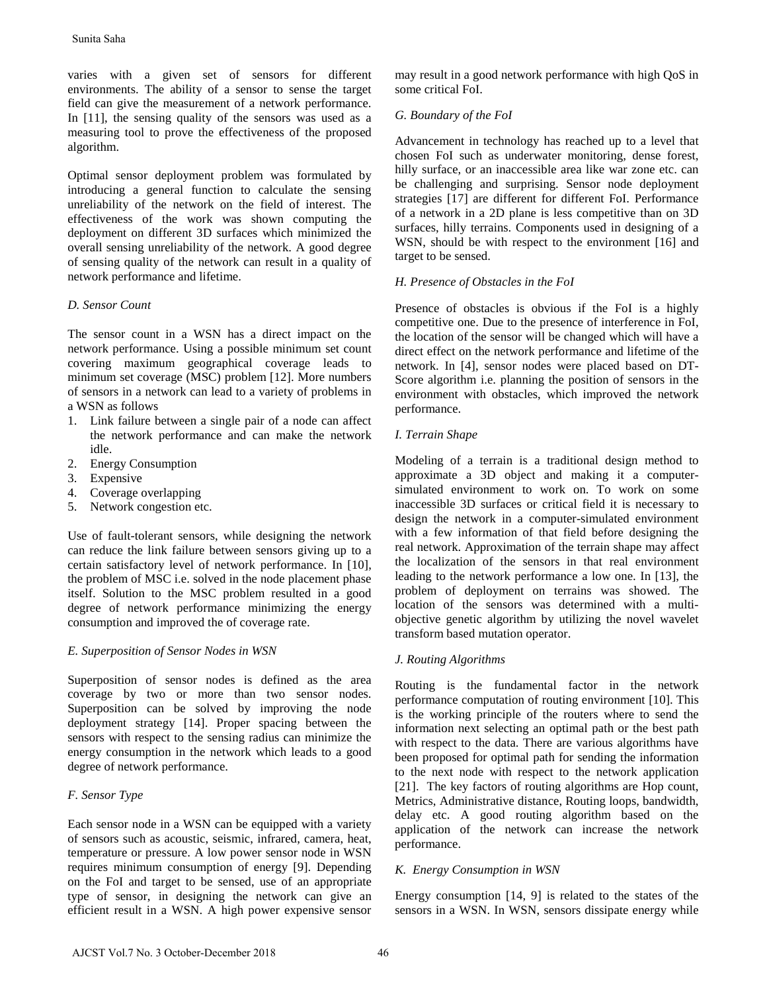varies with a given set of sensors for different environments. The ability of a sensor to sense the target field can give the measurement of a network performance. In [11], the sensing quality of the sensors was used as a measuring tool to prove the effectiveness of the proposed algorithm.

Optimal sensor deployment problem was formulated by introducing a general function to calculate the sensing unreliability of the network on the field of interest. The effectiveness of the work was shown computing the deployment on different 3D surfaces which minimized the overall sensing unreliability of the network. A good degree of sensing quality of the network can result in a quality of network performance and lifetime. Sunita Saha<br>
simina with a given set of sensors for different<br>
mvironments. The ubility of a sensor to sense the target<br>
mvironments. The ubility of a sensor to sense the target<br>
independent and the different politic of a

# *D. Sensor Count*

The sensor count in a WSN has a direct impact on the network performance. Using a possible minimum set count covering maximum geographical coverage leads to minimum set coverage (MSC) problem [12]. More numbers of sensors in a network can lead to a variety of problems in a WSN as follows

- 1. Link failure between a single pair of a node can affect the network performance and can make the network idle.
- 2. Energy Consumption
- 3. Expensive
- 4. Coverage overlapping
- 5. Network congestion etc.

Use of fault-tolerant sensors, while designing the network can reduce the link failure between sensors giving up to a certain satisfactory level of network performance. In [10], the problem of MSC i.e. solved in the node placement phase itself. Solution to the MSC problem resulted in a good degree of network performance minimizing the energy consumption and improved the of coverage rate.

# *E. Superposition of Sensor Nodes in WSN*

Superposition of sensor nodes is defined as the area coverage by two or more than two sensor nodes. Superposition can be solved by improving the node deployment strategy [14]. Proper spacing between the sensors with respect to the sensing radius can minimize the energy consumption in the network which leads to a good degree of network performance.

# *F. Sensor Type*

Each sensor node in a WSN can be equipped with a variety of sensors such as acoustic, seismic, infrared, camera, heat, temperature or pressure. A low power sensor node in WSN requires minimum consumption of energy [9]. Depending on the FoI and target to be sensed, use of an appropriate type of sensor, in designing the network can give an efficient result in a WSN. A high power expensive sensor may result in a good network performance with high QoS in some critical FoI.

## *G. Boundary of the FoI*

Advancement in technology has reached up to a level that chosen FoI such as underwater monitoring, dense forest, hilly surface, or an inaccessible area like war zone etc. can be challenging and surprising. Sensor node deployment strategies [17] are different for different FoI. Performance of a network in a 2D plane is less competitive than on 3D surfaces, hilly terrains. Components used in designing of a WSN, should be with respect to the environment [16] and target to be sensed.

## *H. Presence of Obstacles in the FoI*

Presence of obstacles is obvious if the FoI is a highly competitive one. Due to the presence of interference in FoI, the location of the sensor will be changed which will have a direct effect on the network performance and lifetime of the network. In [4], sensor nodes were placed based on DT-Score algorithm i.e. planning the position of sensors in the environment with obstacles, which improved the network performance.

## *I. Terrain Shape*

Modeling of a terrain is a traditional design method to approximate a 3D object and making it a computersimulated environment to work on. To work on some inaccessible 3D surfaces or critical field it is necessary to design the network in a computer-simulated environment with a few information of that field before designing the real network. Approximation of the terrain shape may affect the localization of the sensors in that real environment leading to the network performance a low one. In [13], the problem of deployment on terrains was showed. The location of the sensors was determined with a multiobjective genetic algorithm by utilizing the novel wavelet transform based mutation operator.

## *J. Routing Algorithms*

Routing is the fundamental factor in the network performance computation of routing environment [10]. This is the working principle of the routers where to send the information next selecting an optimal path or the best path with respect to the data. There are various algorithms have been proposed for optimal path for sending the information to the next node with respect to the network application [21]. The key factors of routing algorithms are Hop count, Metrics, Administrative distance, Routing loops, bandwidth, delay etc. A good routing algorithm based on the application of the network can increase the network performance.

# *K. Energy Consumption in WSN*

Energy consumption [14, 9] is related to the states of the sensors in a WSN. In WSN, sensors dissipate energy while